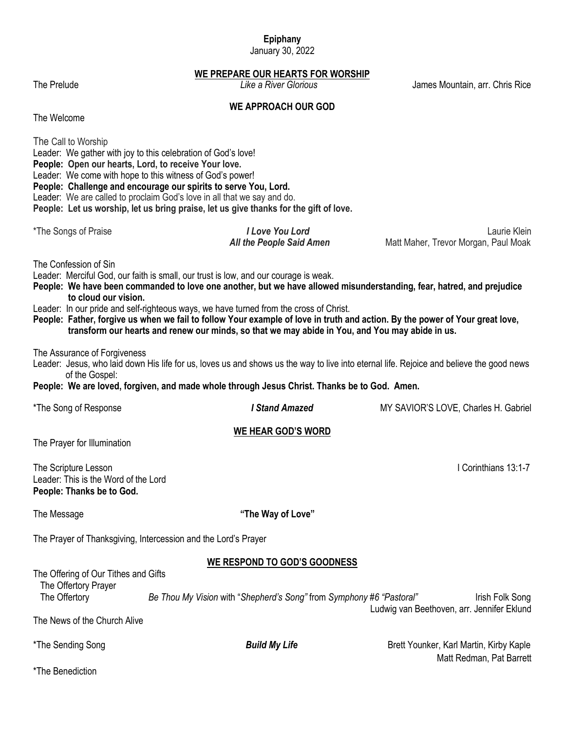# **Epiphany**

January 30, 2022

**WE PREPARE OUR HEARTS FOR WORSHIP**<br>Like a River Glorious

The Prelude *Like a River Glorious* James Mountain, arr. Chris Rice

# **WE APPROACH OUR GOD**

The Welcome

| The Call to Worship<br>People: Open our hearts, Lord, to receive Your love.                                                                                                                                                                                                                                                                                                                                                                                                                                                                                                                 | Leader: We gather with joy to this celebration of God's love!<br>Leader: We come with hope to this witness of God's power!<br>People: Challenge and encourage our spirits to serve You, Lord.<br>Leader: We are called to proclaim God's love in all that we say and do.<br>People: Let us worship, let us bring praise, let us give thanks for the gift of love. |                                                                     |  |  |  |
|---------------------------------------------------------------------------------------------------------------------------------------------------------------------------------------------------------------------------------------------------------------------------------------------------------------------------------------------------------------------------------------------------------------------------------------------------------------------------------------------------------------------------------------------------------------------------------------------|-------------------------------------------------------------------------------------------------------------------------------------------------------------------------------------------------------------------------------------------------------------------------------------------------------------------------------------------------------------------|---------------------------------------------------------------------|--|--|--|
| *The Songs of Praise                                                                                                                                                                                                                                                                                                                                                                                                                                                                                                                                                                        | <b>I Love You Lord</b><br>All the People Said Amen                                                                                                                                                                                                                                                                                                                | Laurie Klein<br>Matt Maher, Trevor Morgan, Paul Moak                |  |  |  |
| The Confession of Sin<br>Leader: Merciful God, our faith is small, our trust is low, and our courage is weak.<br>People: We have been commanded to love one another, but we have allowed misunderstanding, fear, hatred, and prejudice<br>to cloud our vision.<br>Leader: In our pride and self-righteous ways, we have turned from the cross of Christ.<br>People: Father, forgive us when we fail to follow Your example of love in truth and action. By the power of Your great love,<br>transform our hearts and renew our minds, so that we may abide in You, and You may abide in us. |                                                                                                                                                                                                                                                                                                                                                                   |                                                                     |  |  |  |
| The Assurance of Forgiveness<br>Leader: Jesus, who laid down His life for us, loves us and shows us the way to live into eternal life. Rejoice and believe the good news<br>of the Gospel:<br>People: We are loved, forgiven, and made whole through Jesus Christ. Thanks be to God. Amen.                                                                                                                                                                                                                                                                                                  |                                                                                                                                                                                                                                                                                                                                                                   |                                                                     |  |  |  |
| *The Song of Response                                                                                                                                                                                                                                                                                                                                                                                                                                                                                                                                                                       | <b>I Stand Amazed</b>                                                                                                                                                                                                                                                                                                                                             | MY SAVIOR'S LOVE, Charles H. Gabriel                                |  |  |  |
| The Prayer for Illumination                                                                                                                                                                                                                                                                                                                                                                                                                                                                                                                                                                 | <b>WE HEAR GOD'S WORD</b>                                                                                                                                                                                                                                                                                                                                         |                                                                     |  |  |  |
| The Scripture Lesson<br>Leader: This is the Word of the Lord<br>People: Thanks be to God.                                                                                                                                                                                                                                                                                                                                                                                                                                                                                                   |                                                                                                                                                                                                                                                                                                                                                                   | I Corinthians 13:1-7                                                |  |  |  |
| The Message                                                                                                                                                                                                                                                                                                                                                                                                                                                                                                                                                                                 | "The Way of Love"                                                                                                                                                                                                                                                                                                                                                 |                                                                     |  |  |  |
|                                                                                                                                                                                                                                                                                                                                                                                                                                                                                                                                                                                             | The Prayer of Thanksgiving, Intercession and the Lord's Prayer                                                                                                                                                                                                                                                                                                    |                                                                     |  |  |  |
|                                                                                                                                                                                                                                                                                                                                                                                                                                                                                                                                                                                             | <b>WE RESPOND TO GOD'S GOODNESS</b>                                                                                                                                                                                                                                                                                                                               |                                                                     |  |  |  |
| The Offering of Our Tithes and Gifts<br>The Offertory Prayer<br>The Offertory                                                                                                                                                                                                                                                                                                                                                                                                                                                                                                               | Be Thou My Vision with "Shepherd's Song" from Symphony #6 "Pastoral"                                                                                                                                                                                                                                                                                              | Irish Folk Song<br>Ludwig van Beethoven, arr. Jennifer Eklund       |  |  |  |
| The News of the Church Alive                                                                                                                                                                                                                                                                                                                                                                                                                                                                                                                                                                |                                                                                                                                                                                                                                                                                                                                                                   |                                                                     |  |  |  |
| *The Sending Song                                                                                                                                                                                                                                                                                                                                                                                                                                                                                                                                                                           | <b>Build My Life</b>                                                                                                                                                                                                                                                                                                                                              | Brett Younker, Karl Martin, Kirby Kaple<br>Matt Redman, Pat Barrett |  |  |  |
| *The Benediction                                                                                                                                                                                                                                                                                                                                                                                                                                                                                                                                                                            |                                                                                                                                                                                                                                                                                                                                                                   |                                                                     |  |  |  |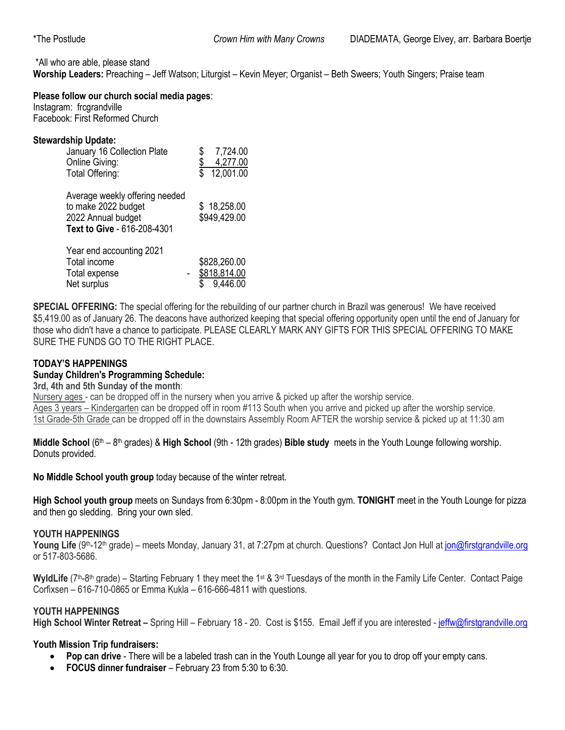\*All who are able, please stand

**Worship Leaders:** Preaching – Jeff Watson; Liturgist – Kevin Meyer; Organist – Beth Sweers; Youth Singers; Praise team

#### **Please follow our church social media pages**:

Instagram: frcgrandville Facebook: First Reformed Church

#### **Stewardship Update:**

| January 16 Collection Plate<br>Online Giving:<br>Total Offering:                                           | 7,724.00<br>4,277.00<br>12,001.00        |
|------------------------------------------------------------------------------------------------------------|------------------------------------------|
| Average weekly offering needed<br>to make 2022 budget<br>2022 Annual budget<br>Text to Give - 616-208-4301 | \$18,258.00<br>\$949,429.00              |
| Year end accounting 2021<br>Total income<br>Total expense<br>Net surplus                                   | \$828,260.00<br>\$818,814.00<br>9,446.00 |

**SPECIAL OFFERING:** The special offering for the rebuilding of our partner church in Brazil was generous! We have received \$5,419.00 as of January 26. The deacons have authorized keeping that special offering opportunity open until the end of January for those who didn't have a chance to participate. PLEASE CLEARLY MARK ANY GIFTS FOR THIS SPECIAL OFFERING TO MAKE SURE THE FUNDS GO TO THE RIGHT PLACE.

# **TODAY'S HAPPENINGS**

# **Sunday Children's Programming Schedule:**

## **3rd, 4th and 5th Sunday of the month**:

Nursery ages - can be dropped off in the nursery when you arrive & picked up after the worship service. Ages 3 years – Kindergarten can be dropped off in room #113 South when you arrive and picked up after the worship service. 1st Grade-5th Grade can be dropped off in the downstairs Assembly Room AFTER the worship service & picked up at 11:30 am

Middle School (6<sup>th</sup> – 8<sup>th</sup> grades) & High School (9th - 12th grades) Bible study meets in the Youth Lounge following worship. Donuts provided.

**No Middle School youth group** today because of the winter retreat.

**High School youth group** meets on Sundays from 6:30pm - 8:00pm in the Youth gym. **TONIGHT** meet in the Youth Lounge for pizza and then go sledding. Bring your own sled.

#### **YOUTH HAPPENINGS**

**Young Life** (9<sup>th</sup>-12<sup>th</sup> grade) – meets Monday, January 31, at 7:27pm at church. Questions? Contact Jon Hull at [jon@firstgrandville.org](mailto:jon@firstgrandville.org) or 517-803-5686.

WyldLife (7<sup>th</sup>-8<sup>th</sup> grade) – Starting February 1 they meet the 1<sup>st</sup> & 3<sup>rd</sup> Tuesdays of the month in the Family Life Center. Contact Paige Corfixsen – 616-710-0865 or Emma Kukla – 616-666-4811 with questions.

#### **YOUTH HAPPENINGS**

**High School Winter Retreat –** Spring Hill – February 18 - 20. Cost is \$155. Email Jeff if you are interested - [jeffw@firstgrandville.org](mailto:jeffw@firstgrandville.org)

#### **Youth Mission Trip fundraisers:**

- **Pop can drive**  There will be a labeled trash can in the Youth Lounge all year for you to drop off your empty cans.
- **FOCUS dinner fundraiser**  February 23 from 5:30 to 6:30.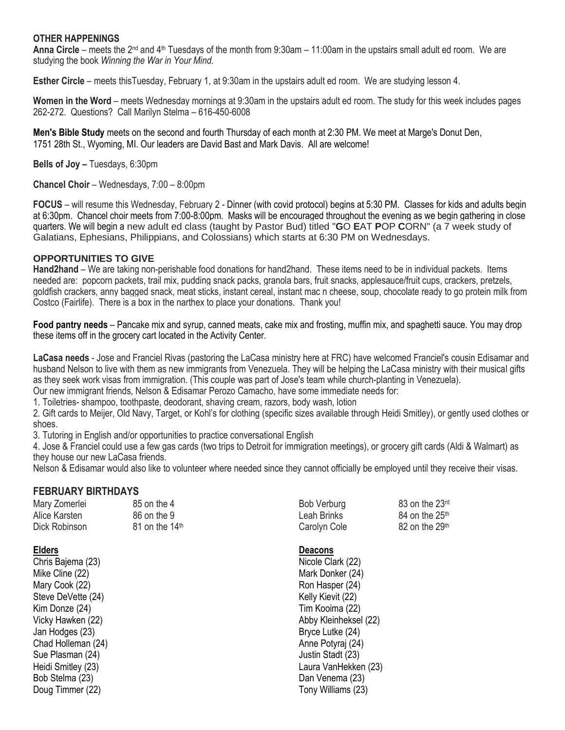#### **OTHER HAPPENINGS**

**Anna Circle** – meets the 2nd and 4th Tuesdays of the month from 9:30am – 11:00am in the upstairs small adult ed room. We are studying the book *Winning the War in Your Mind.*

**Esther Circle** – meets thisTuesday, February 1, at 9:30am in the upstairs adult ed room. We are studying lesson 4.

**Women in the Word** – meets Wednesday mornings at 9:30am in the upstairs adult ed room. The study for this week includes pages 262-272. Questions? Call Marilyn Stelma – 616-450-6008

**Men's Bible Study** meets on the second and fourth Thursday of each month at 2:30 PM. We meet at Marge's Donut Den, 1751 28th St., Wyoming, MI. Our leaders are David Bast and Mark Davis. All are welcome!

**Bells of Joy –** Tuesdays, 6:30pm

**Chancel Choir** – Wednesdays, 7:00 – 8:00pm

**FOCUS** – will resume this Wednesday, February 2 - Dinner (with covid protocol) begins at 5:30 PM. Classes for kids and adults begin at 6:30pm. Chancel choir meets from 7:00-8:00pm. Masks will be encouraged throughout the evening as we begin gathering in close quarters. We will begin a new adult ed class (taught by Pastor Bud) titled "**G**O **E**AT **P**OP **C**ORN" (a 7 week study of Galatians, Ephesians, Philippians, and Colossians) which starts at 6:30 PM on Wednesdays.

#### **OPPORTUNITIES TO GIVE**

**Hand2hand** – We are taking non-perishable food donations for hand2hand. These items need to be in individual packets. Items needed are: popcorn packets, trail mix, pudding snack packs, granola bars, fruit snacks, applesauce/fruit cups, crackers, pretzels, goldfish crackers, anny bagged snack, meat sticks, instant cereal, instant mac n cheese, soup, chocolate ready to go protein milk from Costco (Fairlife). There is a box in the narthex to place your donations. Thank you!

**Food pantry needs** – Pancake mix and syrup, canned meats, cake mix and frosting, muffin mix, and spaghetti sauce. You may drop these items off in the grocery cart located in the Activity Center.

**LaCasa needs** - Jose and Franciel Rivas (pastoring the LaCasa ministry here at FRC) have welcomed Franciel's cousin Edisamar and husband Nelson to live with them as new immigrants from Venezuela. They will be helping the LaCasa ministry with their musical gifts as they seek work visas from immigration. (This couple was part of Jose's team while church-planting in Venezuela). Our new immigrant friends, Nelson & Edisamar Perozo Camacho, have some immediate needs for:

1. Toiletries- shampoo, toothpaste, deodorant, shaving cream, razors, body wash, lotion

2. Gift cards to Meijer, Old Navy, Target, or Kohl's for clothing (specific sizes available through Heidi Smitley), or gently used clothes or shoes.

3. Tutoring in English and/or opportunities to practice conversational English

4. Jose & Franciel could use a few gas cards (two trips to Detroit for immigration meetings), or grocery gift cards (Aldi & Walmart) as they house our new LaCasa friends.

Nelson & Edisamar would also like to volunteer where needed since they cannot officially be employed until they receive their visas.

#### **FEBRUARY BIRTHDAYS**

| Mary Zomerlei | 85 on the 4                | Bob Verburg  | 83 on the 23rd             |
|---------------|----------------------------|--------------|----------------------------|
| Alice Karsten | 86 on the 9                | Leah Brinks  | 84 on the 25 <sup>th</sup> |
| Dick Robinson | 81 on the 14 <sup>th</sup> | Carolyn Cole | 82 on the 29 <sup>th</sup> |
|               |                            |              |                            |

Chris Bajema (23) Nicole Clark (22) Mike Cline (22) Mark Donker (24) Mary Cook (22) Ron Hasper (24) Ron Hasper (24) Steve DeVette (24) Kelly Kievit (22) Kim Donze (24) **Tim Kooima** (22) Jan Hodges (23) Bryce Lutke (24) Chad Holleman (24) **Anne Potyraj (24)** Anne Potyraj (24) Sue Plasman (24) **Sue Plasman (24)** Justin Stadt (23) Bob Stelma (23) Dan Venema (23) Doug Timmer (22) Tony Williams (23)

| <b>Bob Verburg</b> | 83 on the 2 |
|--------------------|-------------|
| Leah Brinks        | 84 on the 2 |
| Carolyn Cole       | 82 on the 2 |

#### **Elders Deacons**

Vicky Hawken (22) **Abby Kleinheksel (22)** Abby Kleinheksel (22) Heidi Smitley (23) Laura VanHekken (23)